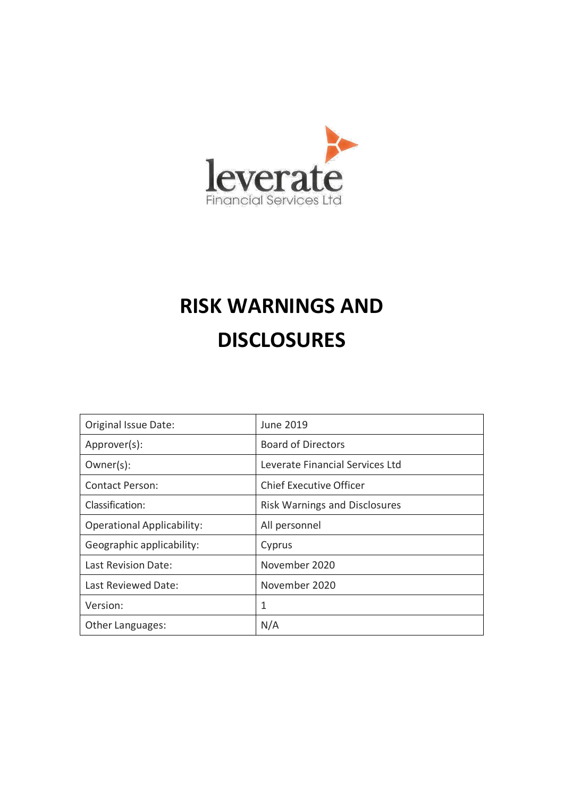

# **RISK WARNINGS AND DISCLOSURES**

| Original Issue Date:              | June 2019                            |
|-----------------------------------|--------------------------------------|
| Approver(s):                      | <b>Board of Directors</b>            |
| Owner(s):                         | Leverate Financial Services Ltd      |
| Contact Person:                   | <b>Chief Executive Officer</b>       |
| Classification:                   | <b>Risk Warnings and Disclosures</b> |
| <b>Operational Applicability:</b> | All personnel                        |
| Geographic applicability:         | Cyprus                               |
| Last Revision Date:               | November 2020                        |
| Last Reviewed Date:               | November 2020                        |
| Version:                          |                                      |
| Other Languages:                  | N/A                                  |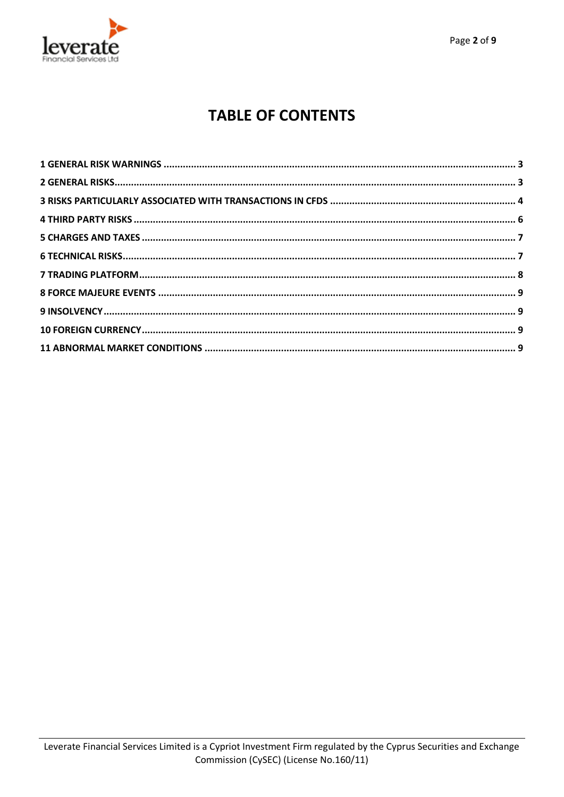

# **TABLE OF CONTENTS**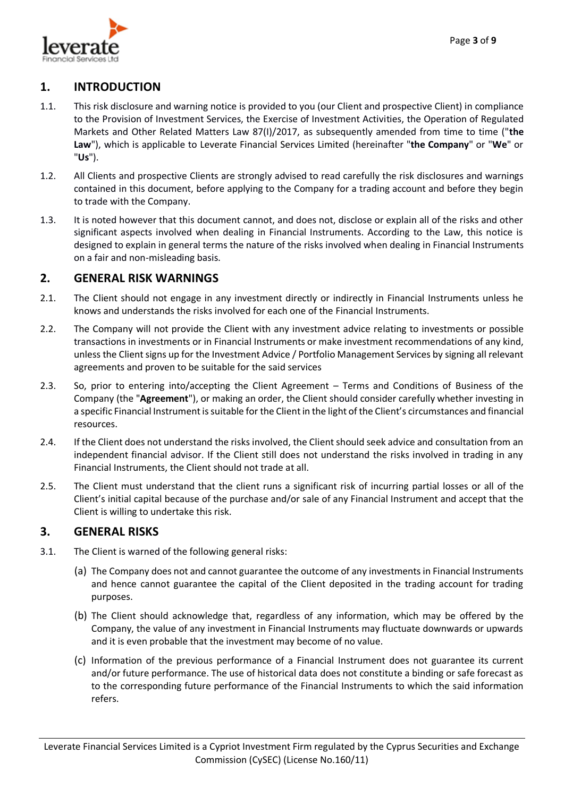

### **1. INTRODUCTION**

- 1.1. This risk disclosure and warning notice is provided to you (our Client and prospective Client) in compliance to the Provision of Investment Services, the Exercise of Investment Activities, the Operation of Regulated Markets and Other Related Matters Law 87(I)/2017, as subsequently amended from time to time ("**the Law**"), which is applicable to Leverate Financial Services Limited (hereinafter "**the Company**" or "**We**" or "**Us**").
- 1.2. All Clients and prospective Clients are strongly advised to read carefully the risk disclosures and warnings contained in this document, before applying to the Company for a trading account and before they begin to trade with the Company.
- 1.3. It is noted however that this document cannot, and does not, disclose or explain all of the risks and other significant aspects involved when dealing in Financial Instruments. According to the Law, this notice is designed to explain in general terms the nature of the risks involved when dealing in Financial Instruments on a fair and non-misleading basis.

#### <span id="page-2-0"></span>**2. GENERAL RISK WARNINGS**

- 2.1. The Client should not engage in any investment directly or indirectly in Financial Instruments unless he knows and understands the risks involved for each one of the Financial Instruments.
- 2.2. The Company will not provide the Client with any investment advice relating to investments or possible transactions in investments or in Financial Instruments or make investment recommendations of any kind, unless the Client signs up for the Investment Advice / Portfolio Management Services by signing all relevant agreements and proven to be suitable for the said services
- 2.3. So, prior to entering into/accepting the Client Agreement Terms and Conditions of Business of the Company (the "**Agreement**"), or making an order, the Client should consider carefully whether investing in a specific Financial Instrument is suitable for the Client in the light of the Client's circumstances and financial resources.
- 2.4. If the Client does not understand the risks involved, the Client should seek advice and consultation from an independent financial advisor. If the Client still does not understand the risks involved in trading in any Financial Instruments, the Client should not trade at all.
- 2.5. The Client must understand that the client runs a significant risk of incurring partial losses or all of the Client's initial capital because of the purchase and/or sale of any Financial Instrument and accept that the Client is willing to undertake this risk.

#### <span id="page-2-1"></span>**3. GENERAL RISKS**

- 3.1. The Client is warned of the following general risks:
	- (a) The Company does not and cannot guarantee the outcome of any investments in Financial Instruments and hence cannot guarantee the capital of the Client deposited in the trading account for trading purposes.
	- (b) The Client should acknowledge that, regardless of any information, which may be offered by the Company, the value of any investment in Financial Instruments may fluctuate downwards or upwards and it is even probable that the investment may become of no value.
	- (c) Information of the previous performance of a Financial Instrument does not guarantee its current and/or future performance. The use of historical data does not constitute a binding or safe forecast as to the corresponding future performance of the Financial Instruments to which the said information refers.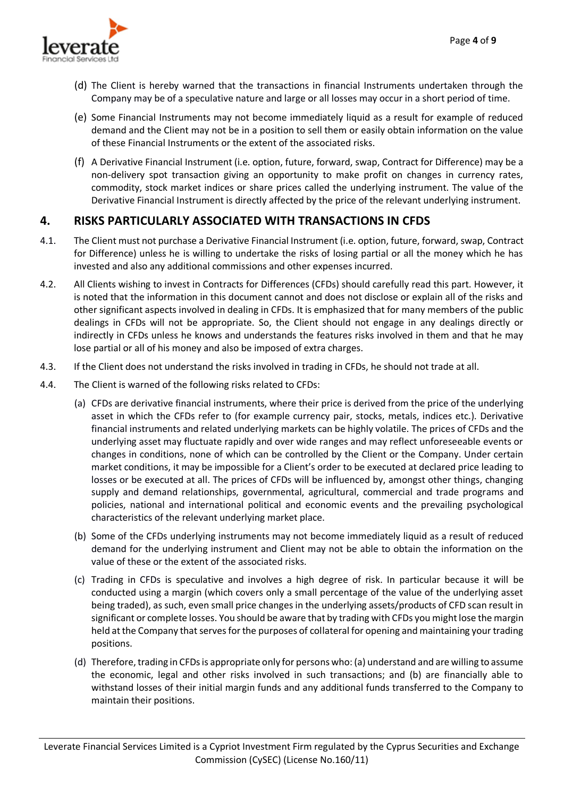

- (d) The Client is hereby warned that the transactions in financial Instruments undertaken through the Company may be of a speculative nature and large or all losses may occur in a short period of time.
- (e) Some Financial Instruments may not become immediately liquid as a result for example of reduced demand and the Client may not be in a position to sell them or easily obtain information on the value of these Financial Instruments or the extent of the associated risks.
- (f) A Derivative Financial Instrument (i.e. option, future, forward, swap, Contract for Difference) may be a non-delivery spot transaction giving an opportunity to make profit on changes in currency rates, commodity, stock market indices or share prices called the underlying instrument. The value of the Derivative Financial Instrument is directly affected by the price of the relevant underlying instrument.

## <span id="page-3-0"></span>**4. RISKS PARTICULARLY ASSOCIATED WITH TRANSACTIONS IN CFDS**

- 4.1. The Client must not purchase a Derivative Financial Instrument (i.e. option, future, forward, swap, Contract for Difference) unless he is willing to undertake the risks of losing partial or all the money which he has invested and also any additional commissions and other expenses incurred.
- 4.2. All Clients wishing to invest in Contracts for Differences (CFDs) should carefully read this part. However, it is noted that the information in this document cannot and does not disclose or explain all of the risks and other significant aspects involved in dealing in CFDs. It is emphasized that for many members of the public dealings in CFDs will not be appropriate. So, the Client should not engage in any dealings directly or indirectly in CFDs unless he knows and understands the features risks involved in them and that he may lose partial or all of his money and also be imposed of extra charges.
- 4.3. If the Client does not understand the risks involved in trading in CFDs, he should not trade at all.
- 4.4. The Client is warned of the following risks related to CFDs:
	- (a) CFDs are derivative financial instruments, where their price is derived from the price of the underlying asset in which the CFDs refer to (for example currency pair, stocks, metals, indices etc.). Derivative financial instruments and related underlying markets can be highly volatile. The prices of CFDs and the underlying asset may fluctuate rapidly and over wide ranges and may reflect unforeseeable events or changes in conditions, none of which can be controlled by the Client or the Company. Under certain market conditions, it may be impossible for a Client's order to be executed at declared price leading to losses or be executed at all. The prices of CFDs will be influenced by, amongst other things, changing supply and demand relationships, governmental, agricultural, commercial and trade programs and policies, national and international political and economic events and the prevailing psychological characteristics of the relevant underlying market place.
	- (b) Some of the CFDs underlying instruments may not become immediately liquid as a result of reduced demand for the underlying instrument and Client may not be able to obtain the information on the value of these or the extent of the associated risks.
	- (c) Trading in CFDs is speculative and involves a high degree of risk. In particular because it will be conducted using a margin (which covers only a small percentage of the value of the underlying asset being traded), as such, even small price changes in the underlying assets/products of CFD scan result in significant or complete losses. You should be aware that by trading with CFDs you might lose the margin held at the Company that serves for the purposes of collateral for opening and maintaining your trading positions.
	- (d) Therefore, trading in CFDs is appropriate only for persons who: (a) understand and are willing to assume the economic, legal and other risks involved in such transactions; and (b) are financially able to withstand losses of their initial margin funds and any additional funds transferred to the Company to maintain their positions.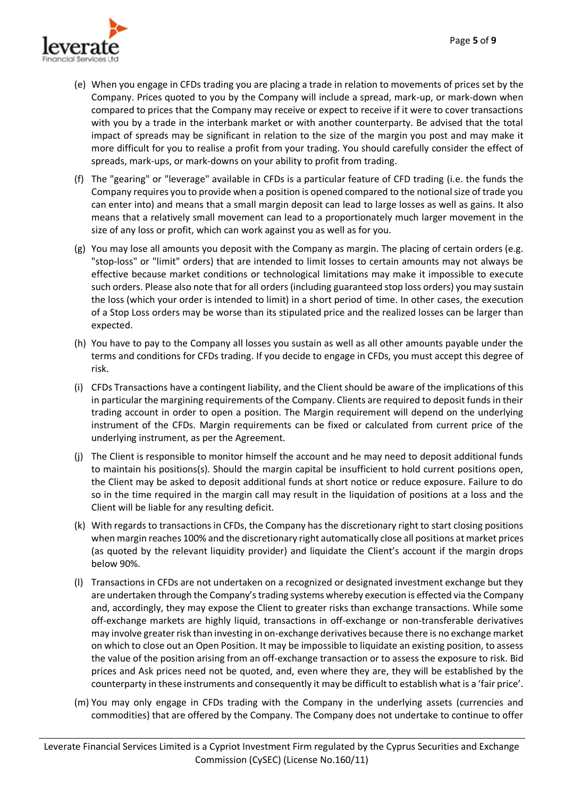

- (e) When you engage in CFDs trading you are placing a trade in relation to movements of prices set by the Company. Prices quoted to you by the Company will include a spread, mark-up, or mark-down when compared to prices that the Company may receive or expect to receive if it were to cover transactions with you by a trade in the interbank market or with another counterparty. Be advised that the total impact of spreads may be significant in relation to the size of the margin you post and may make it more difficult for you to realise a profit from your trading. You should carefully consider the effect of spreads, mark-ups, or mark-downs on your ability to profit from trading.
- (f) The "gearing" or "leverage" available in CFDs is a particular feature of CFD trading (i.e. the funds the Company requires you to provide when a position is opened compared to the notional size of trade you can enter into) and means that a small margin deposit can lead to large losses as well as gains. It also means that a relatively small movement can lead to a proportionately much larger movement in the size of any loss or profit, which can work against you as well as for you.
- (g) You may lose all amounts you deposit with the Company as margin. The placing of certain orders (e.g. "stop-loss" or "limit" orders) that are intended to limit losses to certain amounts may not always be effective because market conditions or technological limitations may make it impossible to execute such orders. Please also note that for all orders (including guaranteed stop loss orders) you may sustain the loss (which your order is intended to limit) in a short period of time. In other cases, the execution of a Stop Loss orders may be worse than its stipulated price and the realized losses can be larger than expected.
- (h) You have to pay to the Company all losses you sustain as well as all other amounts payable under the terms and conditions for CFDs trading. If you decide to engage in CFDs, you must accept this degree of risk.
- (i) CFDs Transactions have a contingent liability, and the Client should be aware of the implications of this in particular the margining requirements of the Company. Clients are required to deposit funds in their trading account in order to open a position. The Margin requirement will depend on the underlying instrument of the CFDs. Margin requirements can be fixed or calculated from current price of the underlying instrument, as per the Agreement.
- (j) The Client is responsible to monitor himself the account and he may need to deposit additional funds to maintain his positions(s). Should the margin capital be insufficient to hold current positions open, the Client may be asked to deposit additional funds at short notice or reduce exposure. Failure to do so in the time required in the margin call may result in the liquidation of positions at a loss and the Client will be liable for any resulting deficit.
- (k) With regards to transactions in CFDs, the Company has the discretionary right to start closing positions when margin reaches 100% and the discretionary right automatically close all positions at market prices (as quoted by the relevant liquidity provider) and liquidate the Client's account if the margin drops below 90%.
- (l) Transactions in CFDs are not undertaken on a recognized or designated investment exchange but they are undertaken through the Company's trading systems whereby execution is effected via the Company and, accordingly, they may expose the Client to greater risks than exchange transactions. While some off-exchange markets are highly liquid, transactions in off-exchange or non-transferable derivatives may involve greater risk than investing in on-exchange derivatives because there is no exchange market on which to close out an Open Position. It may be impossible to liquidate an existing position, to assess the value of the position arising from an off-exchange transaction or to assess the exposure to risk. Bid prices and Ask prices need not be quoted, and, even where they are, they will be established by the counterparty in these instruments and consequently it may be difficult to establish what is a 'fair price'.
- (m) You may only engage in CFDs trading with the Company in the underlying assets (currencies and commodities) that are offered by the Company. The Company does not undertake to continue to offer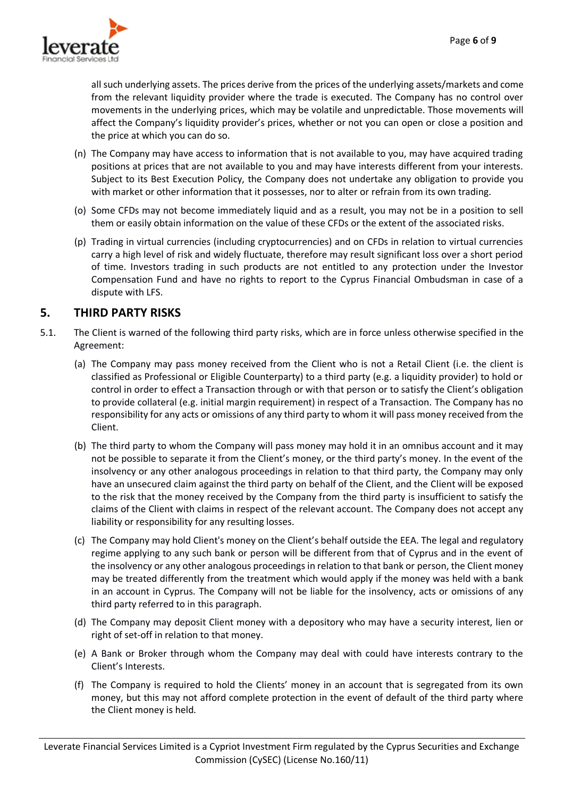

all such underlying assets. The prices derive from the prices of the underlying assets/markets and come from the relevant liquidity provider where the trade is executed. The Company has no control over movements in the underlying prices, which may be volatile and unpredictable. Those movements will affect the Company's liquidity provider's prices, whether or not you can open or close a position and the price at which you can do so.

- (n) The Company may have access to information that is not available to you, may have acquired trading positions at prices that are not available to you and may have interests different from your interests. Subject to its Best Execution Policy, the Company does not undertake any obligation to provide you with market or other information that it possesses, nor to alter or refrain from its own trading.
- (o) Some CFDs may not become immediately liquid and as a result, you may not be in a position to sell them or easily obtain information on the value of these CFDs or the extent of the associated risks.
- (p) Trading in virtual currencies (including cryptocurrencies) and on CFDs in relation to virtual currencies carry a high level of risk and widely fluctuate, therefore may result significant loss over a short period of time. Investors trading in such products are not entitled to any protection under the Investor Compensation Fund and have no rights to report to the Cyprus Financial Ombudsman in case of a dispute with LFS.

# <span id="page-5-0"></span>**5. THIRD PARTY RISKS**

- 5.1. The Client is warned of the following third party risks, which are in force unless otherwise specified in the Agreement:
	- (a) The Company may pass money received from the Client who is not a Retail Client (i.e. the client is classified as Professional or Eligible Counterparty) to a third party (e.g. a liquidity provider) to hold or control in order to effect a Transaction through or with that person or to satisfy the Client's obligation to provide collateral (e.g. initial margin requirement) in respect of a Transaction. The Company has no responsibility for any acts or omissions of any third party to whom it will pass money received from the Client.
	- (b) The third party to whom the Company will pass money may hold it in an omnibus account and it may not be possible to separate it from the Client's money, or the third party's money. In the event of the insolvency or any other analogous proceedings in relation to that third party, the Company may only have an unsecured claim against the third party on behalf of the Client, and the Client will be exposed to the risk that the money received by the Company from the third party is insufficient to satisfy the claims of the Client with claims in respect of the relevant account. The Company does not accept any liability or responsibility for any resulting losses.
	- (c) The Company may hold Client's money on the Client's behalf outside the EEA. The legal and regulatory regime applying to any such bank or person will be different from that of Cyprus and in the event of the insolvency or any other analogous proceedings in relation to that bank or person, the Client money may be treated differently from the treatment which would apply if the money was held with a bank in an account in Cyprus. The Company will not be liable for the insolvency, acts or omissions of any third party referred to in this paragraph.
	- (d) The Company may deposit Client money with a depository who may have a security interest, lien or right of set-off in relation to that money.
	- (e) A Bank or Broker through whom the Company may deal with could have interests contrary to the Client's Interests.
	- (f) The Company is required to hold the Clients' money in an account that is segregated from its own money, but this may not afford complete protection in the event of default of the third party where the Client money is held.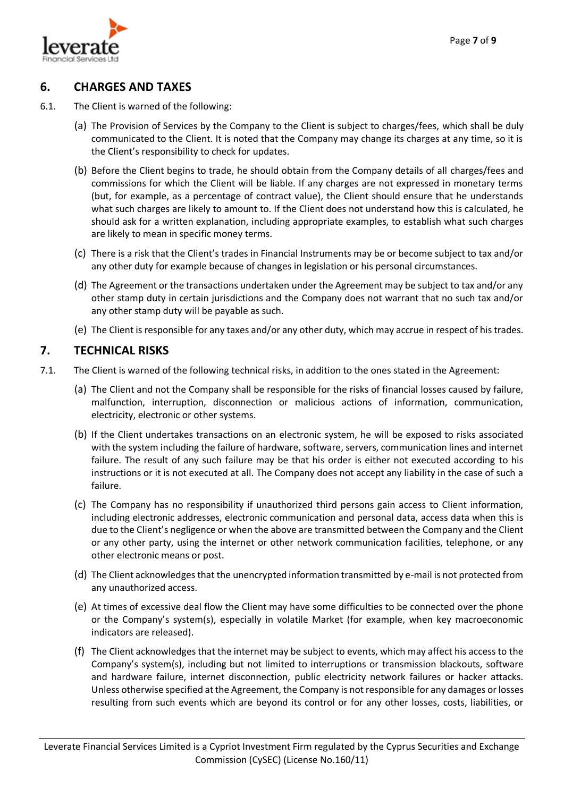

#### <span id="page-6-0"></span>**6. CHARGES AND TAXES**

- 6.1. The Client is warned of the following:
	- (a) The Provision of Services by the Company to the Client is subject to charges/fees, which shall be duly communicated to the Client. It is noted that the Company may change its charges at any time, so it is the Client's responsibility to check for updates.
	- (b) Before the Client begins to trade, he should obtain from the Company details of all charges/fees and commissions for which the Client will be liable. If any charges are not expressed in monetary terms (but, for example, as a percentage of contract value), the Client should ensure that he understands what such charges are likely to amount to. If the Client does not understand how this is calculated, he should ask for a written explanation, including appropriate examples, to establish what such charges are likely to mean in specific money terms.
	- (c) There is a risk that the Client's trades in Financial Instruments may be or become subject to tax and/or any other duty for example because of changes in legislation or his personal circumstances.
	- (d) The Agreement or the transactions undertaken under the Agreement may be subject to tax and/or any other stamp duty in certain jurisdictions and the Company does not warrant that no such tax and/or any other stamp duty will be payable as such.
	- (e) The Client is responsible for any taxes and/or any other duty, which may accrue in respect of his trades.

#### <span id="page-6-1"></span>**7. TECHNICAL RISKS**

- 7.1. The Client is warned of the following technical risks, in addition to the ones stated in the Agreement:
	- (a) The Client and not the Company shall be responsible for the risks of financial losses caused by failure, malfunction, interruption, disconnection or malicious actions of information, communication, electricity, electronic or other systems.
	- (b) If the Client undertakes transactions on an electronic system, he will be exposed to risks associated with the system including the failure of hardware, software, servers, communication lines and internet failure. The result of any such failure may be that his order is either not executed according to his instructions or it is not executed at all. The Company does not accept any liability in the case of such a failure.
	- (c) The Company has no responsibility if unauthorized third persons gain access to Client information, including electronic addresses, electronic communication and personal data, access data when this is due to the Client's negligence or when the above are transmitted between the Company and the Client or any other party, using the internet or other network communication facilities, telephone, or any other electronic means or post.
	- (d) The Client acknowledges that the unencrypted information transmitted by e-mail is not protected from any unauthorized access.
	- (e) At times of excessive deal flow the Client may have some difficulties to be connected over the phone or the Company's system(s), especially in volatile Market (for example, when key macroeconomic indicators are released).
	- (f) The Client acknowledges that the internet may be subject to events, which may affect his access to the Company's system(s), including but not limited to interruptions or transmission blackouts, software and hardware failure, internet disconnection, public electricity network failures or hacker attacks. Unless otherwise specified at the Agreement, the Company is not responsible for any damages or losses resulting from such events which are beyond its control or for any other losses, costs, liabilities, or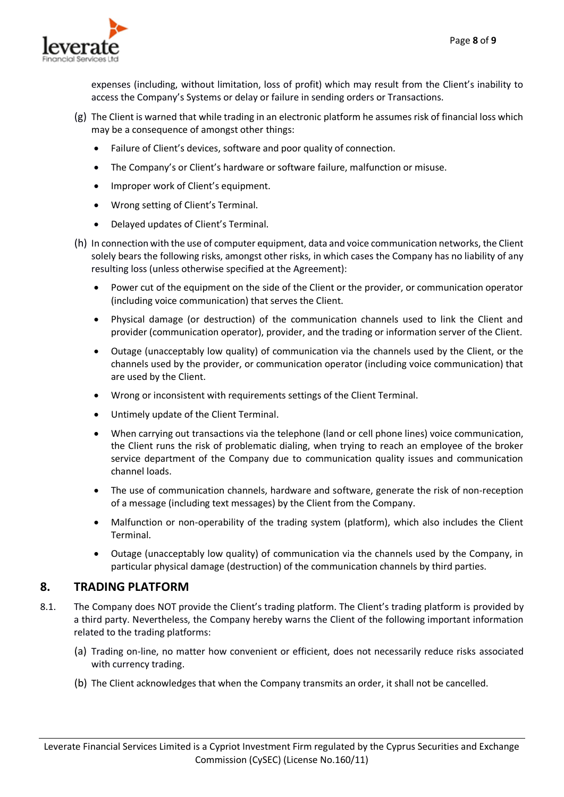

expenses (including, without limitation, loss of profit) which may result from the Client's inability to access the Company's Systems or delay or failure in sending orders or Transactions.

- (g) The Client is warned that while trading in an electronic platform he assumes risk of financial loss which may be a consequence of amongst other things:
	- Failure of Client's devices, software and poor quality of connection.
	- The Company's or Client's hardware or software failure, malfunction or misuse.
	- Improper work of Client's equipment.
	- Wrong setting of Client's Terminal.
	- Delayed updates of Client's Terminal.
- (h) In connection with the use of computer equipment, data and voice communication networks, the Client solely bears the following risks, amongst other risks, in which cases the Company has no liability of any resulting loss (unless otherwise specified at the Agreement):
	- Power cut of the equipment on the side of the Client or the provider, or communication operator (including voice communication) that serves the Client.
	- Physical damage (or destruction) of the communication channels used to link the Client and provider (communication operator), provider, and the trading or information server of the Client.
	- Outage (unacceptably low quality) of communication via the channels used by the Client, or the channels used by the provider, or communication operator (including voice communication) that are used by the Client.
	- Wrong or inconsistent with requirements settings of the Client Terminal.
	- Untimely update of the Client Terminal.
	- When carrying out transactions via the telephone (land or cell phone lines) voice communication, the Client runs the risk of problematic dialing, when trying to reach an employee of the broker service department of the Company due to communication quality issues and communication channel loads.
	- The use of communication channels, hardware and software, generate the risk of non-reception of a message (including text messages) by the Client from the Company.
	- Malfunction or non-operability of the trading system (platform), which also includes the Client Terminal.
	- Outage (unacceptably low quality) of communication via the channels used by the Company, in particular physical damage (destruction) of the communication channels by third parties.

#### <span id="page-7-0"></span>**8. TRADING PLATFORM**

- 8.1. The Company does NOT provide the Client's trading platform. The Client's trading platform is provided by a third party. Nevertheless, the Company hereby warns the Client of the following important information related to the trading platforms:
	- (a) Trading on-line, no matter how convenient or efficient, does not necessarily reduce risks associated with currency trading.
	- (b) The Client acknowledges that when the Company transmits an order, it shall not be cancelled.